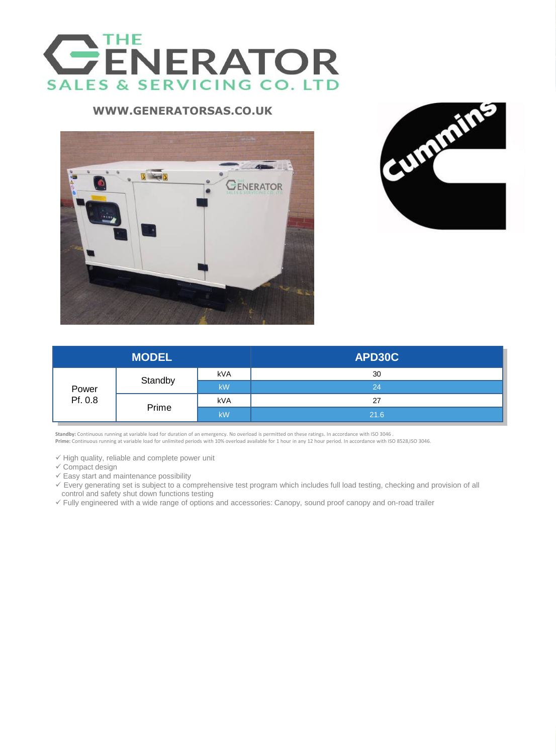

### **APD30C WWW.GENERATORSAS.CO.UK**





| <b>MODEL</b>     |         |           | APD30C |
|------------------|---------|-----------|--------|
| Power<br>Pf. 0.8 | Standby | kVA       | 30     |
|                  |         | <b>kW</b> | 24     |
|                  | Prime   | kVA       | 27     |
|                  |         | <b>kW</b> | 21.6   |

Standby: Continuous running at variable load for duration of an emergency. No overload is permitted on these ratings. In accordance with ISO 3046.<br>Prime: Continuous running at variable load for unlimited periods with 10% o

 $\checkmark$  High quality, reliable and complete power unit

- $\checkmark$  Compact design
- $\checkmark$  Easy start and maintenance possibility
- Every generating set is subject to a comprehensive test program which includes full load testing, checking and provision of all control and safety shut down functions testing
- Fully engineered with a wide range of options and accessories: Canopy, sound proof canopy and on-road trailer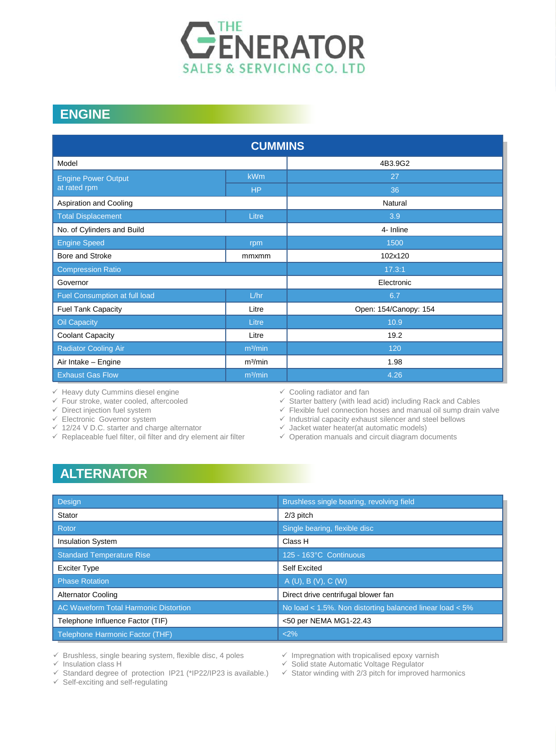

## **ENGINE**

| <b>CUMMINS</b>                |                     |                       |  |  |  |  |  |
|-------------------------------|---------------------|-----------------------|--|--|--|--|--|
| Model                         |                     | 4B3.9G2               |  |  |  |  |  |
| <b>Engine Power Output</b>    | <b>kWm</b>          | 27                    |  |  |  |  |  |
| at rated rpm                  | <b>HP</b>           | 36                    |  |  |  |  |  |
| Aspiration and Cooling        |                     | Natural               |  |  |  |  |  |
| <b>Total Displacement</b>     | Litre               | 3.9                   |  |  |  |  |  |
| No. of Cylinders and Build    |                     | 4- Inline             |  |  |  |  |  |
| <b>Engine Speed</b>           | rpm                 | 1500                  |  |  |  |  |  |
| Bore and Stroke               | mmxmm               | 102x120               |  |  |  |  |  |
| <b>Compression Ratio</b>      |                     | 17.3:1                |  |  |  |  |  |
| Governor                      |                     | Electronic            |  |  |  |  |  |
| Fuel Consumption at full load | L/hr                | 6.7                   |  |  |  |  |  |
| <b>Fuel Tank Capacity</b>     | Litre               | Open: 154/Canopy: 154 |  |  |  |  |  |
| <b>Oil Capacity</b>           | Litre               | 10.9                  |  |  |  |  |  |
| <b>Coolant Capacity</b>       | Litre               | 19.2                  |  |  |  |  |  |
| <b>Radiator Cooling Air</b>   | m <sup>3</sup> /min | 120                   |  |  |  |  |  |
| Air Intake - Engine           | m <sup>3</sup> /min | 1.98                  |  |  |  |  |  |
| <b>Exhaust Gas Flow</b>       | m <sup>3</sup> /min | 4.26                  |  |  |  |  |  |

 $\checkmark$  Heavy duty Cummins diesel engine

 $\checkmark$  Four stroke, water cooled, aftercooled

 $\checkmark$  Direct injection fuel system

 $\checkmark$  Electronic Governor system

- $\checkmark$  12/24 V D.C. starter and charge alternator
- $\checkmark$  Replaceable fuel filter, oil filter and dry element air filter
- $\checkmark$  Cooling radiator and fan

 $\checkmark$  Starter battery (with lead acid) including Rack and Cables

 $\checkmark$  Flexible fuel connection hoses and manual oil sump drain valve

 $\checkmark$  Industrial capacity exhaust silencer and steel bellows

 $\checkmark$  Jacket water heater(at automatic models)

 $\checkmark$  Operation manuals and circuit diagram documents

## **ALTERNATOR**

| Design                                | Brushless single bearing, revolving field                |
|---------------------------------------|----------------------------------------------------------|
| Stator                                | 2/3 pitch                                                |
| Rotor                                 | Single bearing, flexible disc                            |
| <b>Insulation System</b>              | Class H                                                  |
| <b>Standard Temperature Rise</b>      | 125 - 163°C Continuous                                   |
| <b>Exciter Type</b>                   | Self Excited                                             |
| <b>Phase Rotation</b>                 | A(U), B(V), C(W)                                         |
| <b>Alternator Cooling</b>             | Direct drive centrifugal blower fan                      |
| AC Waveform Total Harmonic Distortion | No load < 1.5%. Non distorting balanced linear load < 5% |
| Telephone Influence Factor (TIF)      | <50 per NEMA MG1-22.43                                   |
| Telephone Harmonic Factor (THF)       | <2%                                                      |

 $\checkmark$  Brushless, single bearing system, flexible disc, 4 poles

 $\checkmark$  Insulation class H

 $\checkmark$  Standard degree of protection IP21 (\*IP22/IP23 is available.)

 $\checkmark$  Self-exciting and self-regulating

 $\checkmark$  Impregnation with tropicalised epoxy varnish

 $\checkmark$  Solid state Automatic Voltage Regulator

 $\checkmark$  Stator winding with 2/3 pitch for improved harmonics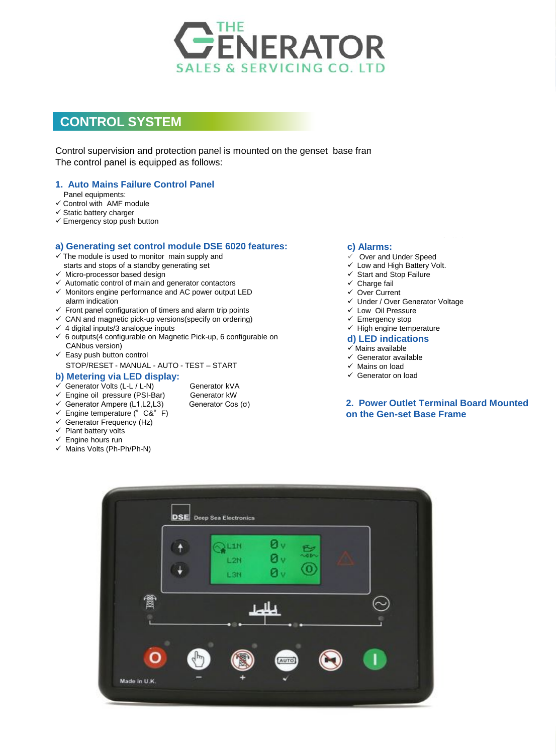

# **CONTROL SYSTEM**

Control supervision and protection panel is mounted on the genset base fran The control panel is equipped as follows:

### **1. Auto Mains Failure Control Panel**

- Panel equipments:
- $\checkmark$  Control with AMF module
- $\checkmark$  Static battery charger
- $\checkmark$  Emergency stop push button

#### **a) Generating set control module DSE 6020 features:**

- $\checkmark$  The module is used to monitor main supply and starts and stops of a standby generating set
- $\checkmark$  Micro-processor based design
- $\checkmark$  Automatic control of main and generator contactors
- $\checkmark$  Monitors engine performance and AC power output LED alarm indication
- $\checkmark$  Front panel configuration of timers and alarm trip points
- $\checkmark$  CAN and magnetic pick-up versions (specify on ordering)
- $\checkmark$  4 digital inputs/3 analogue inputs
- $6$  outputs(4 configurable on Magnetic Pick-up, 6 configurable on CANbus version)
- $\checkmark$  Easy push button control STOP/RESET - MANUAL - AUTO - TEST – START

#### **b) Metering via LED display:**

- Generator Volts (L-L / L-N) Generator kVA<br>
Generator kW<br>
Generator kW
- $\checkmark$  Engine oil pressure (PSI-Bar)
- $\checkmark$  Generator Ampere (L1, L2, L3) Generator Cos (σ)
- $\checkmark$  Engine temperature (°C&°F)
- $\checkmark$  Generator Frequency (Hz)
- $\checkmark$  Plant battery volts
- $\checkmark$  Engine hours run
- $\checkmark$  Mains Volts (Ph-Ph/Ph-N)

#### **c) Alarms:**

- Over and Under Speed
- $\checkmark$  Low and High Battery Volt.
- $\checkmark$  Start and Stop Failure
- $\checkmark$  Charge fail
- Over Current
- Under / Over Generator Voltage
- $\checkmark$  Low Oil Pressure
- $\checkmark$  Emergency stop
- $\checkmark$  High engine temperature
- **d) LED indications**
- $\checkmark$  Mains available
- $\checkmark$  Generator available
- $\checkmark$  Mains on load
- Generator on load

### **2. Power Outlet Terminal Board Mounted on the Gen-set Base Frame**

**DSE 6020**